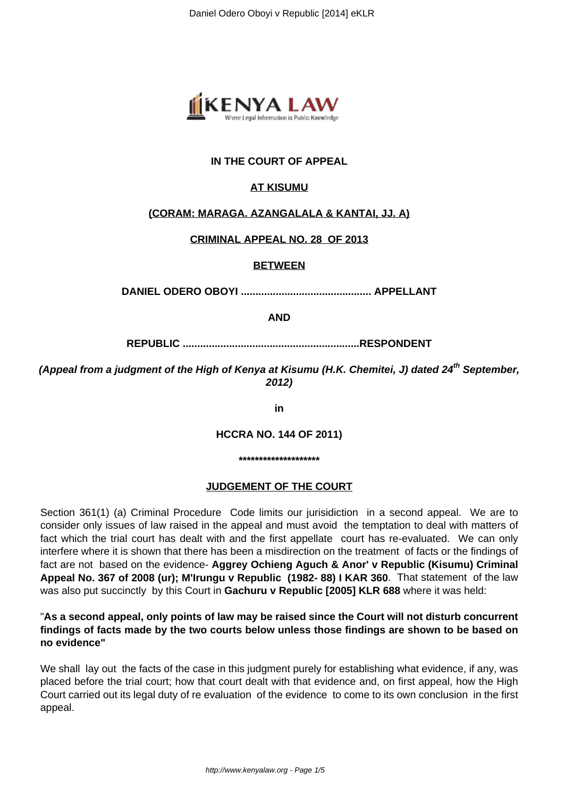

# **IN THE COURT OF APPEAL**

# **AT KISUMU**

# **(CORAM: MARAGA. AZANGALALA & KANTAI, JJ. A)**

# **CRIMINAL APPEAL NO. 28 OF 2013**

# **BETWEEN**

**DANIEL ODERO OBOYI ............................................. APPELLANT**

**AND**

**REPUBLIC .............................................................RESPONDENT**

**(Appeal from a judgment of the High of Kenya at Kisumu (H.K. Chemitei, J) dated 24th September, 2012)**

**in**

**HCCRA NO. 144 OF 2011)**

**\*\*\*\*\*\*\*\*\*\*\*\*\*\*\*\*\*\*\*\***

### **JUDGEMENT OF THE COURT**

Section 361(1) (a) Criminal Procedure Code limits our jurisidiction in a second appeal. We are to consider only issues of law raised in the appeal and must avoid the temptation to deal with matters of fact which the trial court has dealt with and the first appellate court has re-evaluated. We can only interfere where it is shown that there has been a misdirection on the treatment of facts or the findings of fact are not based on the evidence- **Aggrey Ochieng Aguch & Anor' v Republic (Kisumu) Criminal Appeal No. 367 of 2008 (ur); M'Irungu v Republic (1982- 88) I KAR 360**. That statement of the law was also put succinctly by this Court in **Gachuru v Republic [2005] KLR 688** where it was held:

## "**As a second appeal, only points of law may be raised since the Court will not disturb concurrent findings of facts made by the two courts below unless those findings are shown to be based on no evidence"**

We shall lay out the facts of the case in this judgment purely for establishing what evidence, if any, was placed before the trial court; how that court dealt with that evidence and, on first appeal, how the High Court carried out its legal duty of re evaluation of the evidence to come to its own conclusion in the first appeal.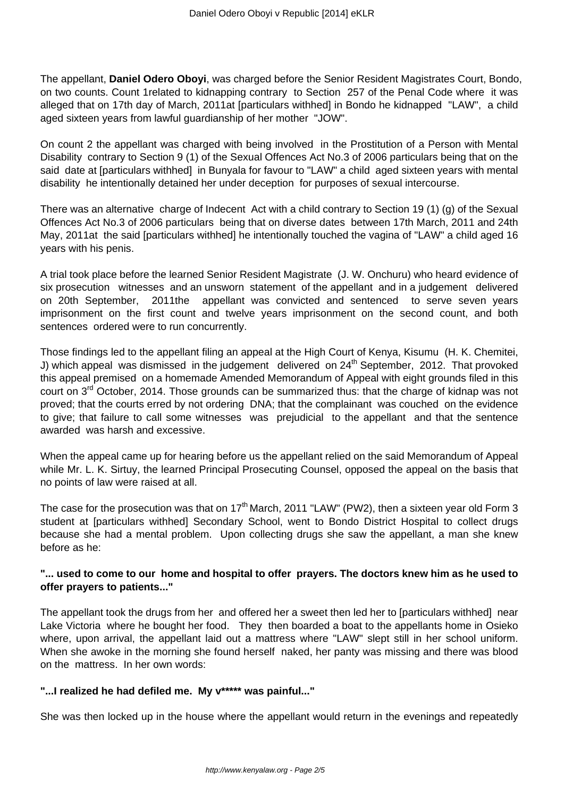The appellant, **Daniel Odero Oboyi**, was charged before the Senior Resident Magistrates Court, Bondo, on two counts. Count 1related to kidnapping contrary to Section 257 of the Penal Code where it was alleged that on 17th day of March, 2011at [particulars withhed] in Bondo he kidnapped "LAW", a child aged sixteen years from lawful guardianship of her mother "JOW".

On count 2 the appellant was charged with being involved in the Prostitution of a Person with Mental Disability contrary to Section 9 (1) of the Sexual Offences Act No.3 of 2006 particulars being that on the said date at [particulars withhed] in Bunyala for favour to "LAW" a child aged sixteen years with mental disability he intentionally detained her under deception for purposes of sexual intercourse.

There was an alternative charge of Indecent Act with a child contrary to Section 19 (1) (g) of the Sexual Offences Act No.3 of 2006 particulars being that on diverse dates between 17th March, 2011 and 24th May, 2011at the said [particulars withhed] he intentionally touched the vagina of "LAW" a child aged 16 years with his penis.

A trial took place before the learned Senior Resident Magistrate (J. W. Onchuru) who heard evidence of six prosecution witnesses and an unsworn statement of the appellant and in a judgement delivered on 20th September, 2011the appellant was convicted and sentenced to serve seven years imprisonment on the first count and twelve years imprisonment on the second count, and both sentences ordered were to run concurrently.

Those findings led to the appellant filing an appeal at the High Court of Kenya, Kisumu (H. K. Chemitei, J) which appeal was dismissed in the judgement delivered on  $24<sup>th</sup>$  September, 2012. That provoked this appeal premised on a homemade Amended Memorandum of Appeal with eight grounds filed in this court on 3<sup>rd</sup> October, 2014. Those grounds can be summarized thus: that the charge of kidnap was not proved; that the courts erred by not ordering DNA; that the complainant was couched on the evidence to give; that failure to call some witnesses was prejudicial to the appellant and that the sentence awarded was harsh and excessive.

When the appeal came up for hearing before us the appellant relied on the said Memorandum of Appeal while Mr. L. K. Sirtuy, the learned Principal Prosecuting Counsel, opposed the appeal on the basis that no points of law were raised at all.

The case for the prosecution was that on  $17<sup>th</sup>$  March, 2011 "LAW" (PW2), then a sixteen year old Form 3 student at [particulars withhed] Secondary School, went to Bondo District Hospital to collect drugs because she had a mental problem. Upon collecting drugs she saw the appellant, a man she knew before as he:

### **"... used to come to our home and hospital to offer prayers. The doctors knew him as he used to offer prayers to patients..."**

The appellant took the drugs from her and offered her a sweet then led her to [particulars withhed] near Lake Victoria where he bought her food. They then boarded a boat to the appellants home in Osieko where, upon arrival, the appellant laid out a mattress where "LAW" slept still in her school uniform. When she awoke in the morning she found herself naked, her panty was missing and there was blood on the mattress. In her own words:

# **"...I realized he had defiled me. My v\*\*\*\*\* was painful..."**

She was then locked up in the house where the appellant would return in the evenings and repeatedly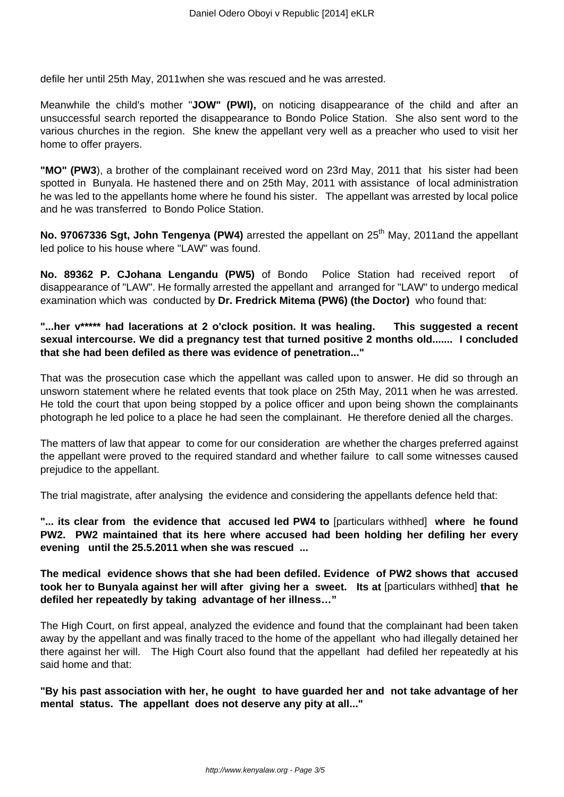defile her until 25th May, 2011when she was rescued and he was arrested.

Meanwhile the child's mother "**JOW" (PWl),** on noticing disappearance of the child and after an unsuccessful search reported the disappearance to Bondo Police Station. She also sent word to the various churches in the region. She knew the appellant very well as a preacher who used to visit her home to offer prayers.

**"MO" (PW3**), a brother of the complainant received word on 23rd May, 2011 that his sister had been spotted in Bunyala. He hastened there and on 25th May, 2011 with assistance of local administration he was led to the appellants home where he found his sister. The appellant was arrested by local police and he was transferred to Bondo Police Station.

No. 97067336 Sgt, John Tengenya (PW4) arrested the appellant on 25<sup>th</sup> May, 2011and the appellant led police to his house where "LAW" was found.

**No. 89362 P. CJohana Lengandu (PW5)** of Bondo Police Station had received report of disappearance of "LAW". He formally arrested the appellant and arranged for "LAW" to undergo medical examination which was conducted by **Dr. Fredrick Mitema (PW6) (the Doctor)** who found that:

**"...her v\*\*\*\*\* had lacerations at 2 o'clock position. It was healing. This suggested a recent sexual intercourse. We did a pregnancy test that turned positive 2 months old....... I concluded that she had been defiled as there was evidence of penetration..."**

That was the prosecution case which the appellant was called upon to answer. He did so through an unsworn statement where he related events that took place on 25th May, 2011 when he was arrested. He told the court that upon being stopped by a police officer and upon being shown the complainants photograph he led police to a place he had seen the complainant. He therefore denied all the charges.

The matters of law that appear to come for our consideration are whether the charges preferred against the appellant were proved to the required standard and whether failure to call some witnesses caused prejudice to the appellant.

The trial magistrate, after analysing the evidence and considering the appellants defence held that:

**"... its clear from the evidence that accused led PW4 to** [particulars withhed] **where he found PW2. PW2 maintained that its here where accused had been holding her defiling her every evening until the 25.5.2011 when she was rescued ...**

**The medical evidence shows that she had been defiled. Evidence of PW2 shows that accused took her to Bunyala against her will after giving her a sweet. Its at** [particulars withhed] **that he defiled her repeatedly by taking advantage of her illness…"**

The High Court, on first appeal, analyzed the evidence and found that the complainant had been taken away by the appellant and was finally traced to the home of the appellant who had illegally detained her there against her will. The High Court also found that the appellant had defiled her repeatedly at his said home and that:

**"By his past association with her, he ought to have guarded her and not take advantage of her mental status. The appellant does not deserve any pity at all..."**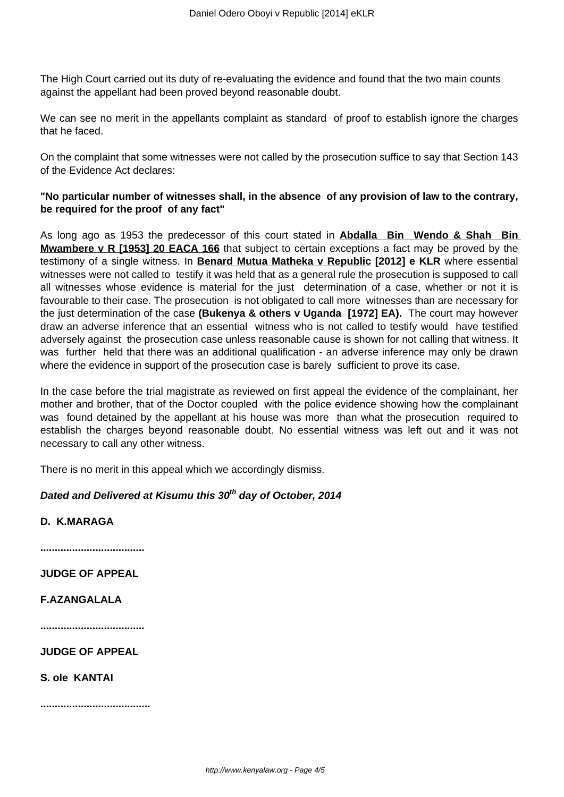The High Court carried out its duty of re-evaluating the evidence and found that the two main counts against the appellant had been proved beyond reasonable doubt.

We can see no merit in the appellants complaint as standard of proof to establish ignore the charges that he faced.

On the complaint that some witnesses were not called by the prosecution suffice to say that Section 143 of the Evidence Act declares:

## **"No particular number of witnesses shall, in the absence of any provision of law to the contrary, be required for the proof of any fact"**

As long ago as 1953 the predecessor of this court stated in **Abdalla Bin Wendo & Shah Bin Mwambere v R [1953] 20 EACA 166** that subject to certain exceptions a fact may be proved by the testimony of a single witness. In **Benard Mutua Matheka v Republic [2012] e KLR** where essential witnesses were not called to testify it was held that as a general rule the prosecution is supposed to call all witnesses whose evidence is material for the just determination of a case, whether or not it is favourable to their case. The prosecution is not obligated to call more witnesses than are necessary for the just determination of the case **(Bukenya & others v Uganda [1972] EA).** The court may however draw an adverse inference that an essential witness who is not called to testify would have testified adversely against the prosecution case unless reasonable cause is shown for not calling that witness. It was further held that there was an additional qualification - an adverse inference may only be drawn where the evidence in support of the prosecution case is barely sufficient to prove its case.

In the case before the trial magistrate as reviewed on first appeal the evidence of the complainant, her mother and brother, that of the Doctor coupled with the police evidence showing how the complainant was found detained by the appellant at his house was more than what the prosecution required to establish the charges beyond reasonable doubt. No essential witness was left out and it was not necessary to call any other witness.

There is no merit in this appeal which we accordingly dismiss.

# **Dated and Delivered at Kisumu this 30th day of October, 2014**

**D. K.MARAGA**

**....................................**

**JUDGE OF APPEAL**

**F.AZANGALALA**

**....................................**

**JUDGE OF APPEAL**

**S. ole KANTAI**

**......................................**